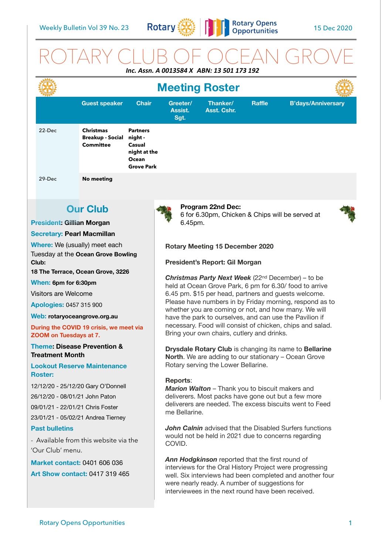

# ROTARY CLUB OF OCEAN GROVE *Inc. Assn. A 0013584 X ABN: 13 501 173 192*

|                                                                                                                                                                                                                                                                                                     | <b>Meeting Roster</b>                                                                                          |                                                                                    |                                                                                                                                                                                                                                                                                                                                                                                                                                                                                                                                                                                                           |                                                                                               |        |                                                                                                                |    |
|-----------------------------------------------------------------------------------------------------------------------------------------------------------------------------------------------------------------------------------------------------------------------------------------------------|----------------------------------------------------------------------------------------------------------------|------------------------------------------------------------------------------------|-----------------------------------------------------------------------------------------------------------------------------------------------------------------------------------------------------------------------------------------------------------------------------------------------------------------------------------------------------------------------------------------------------------------------------------------------------------------------------------------------------------------------------------------------------------------------------------------------------------|-----------------------------------------------------------------------------------------------|--------|----------------------------------------------------------------------------------------------------------------|----|
|                                                                                                                                                                                                                                                                                                     | <b>Guest speaker</b>                                                                                           | <b>Chair</b>                                                                       | Greeter/<br>Assist.<br>Sgt.                                                                                                                                                                                                                                                                                                                                                                                                                                                                                                                                                                               | Thanker/<br>Asst. Cshr.                                                                       | Raffle | <b>B'days/Anniversary</b>                                                                                      |    |
| 22-Dec                                                                                                                                                                                                                                                                                              | <b>Christmas</b><br><b>Breakup - Social</b><br><b>Committee</b>                                                | <b>Partners</b><br>night -<br>Casual<br>night at the<br>Ocean<br><b>Grove Park</b> |                                                                                                                                                                                                                                                                                                                                                                                                                                                                                                                                                                                                           |                                                                                               |        |                                                                                                                |    |
| 29-Dec                                                                                                                                                                                                                                                                                              | <b>No meeting</b>                                                                                              |                                                                                    |                                                                                                                                                                                                                                                                                                                                                                                                                                                                                                                                                                                                           |                                                                                               |        |                                                                                                                |    |
| <b>President: Gillian Morgan</b>                                                                                                                                                                                                                                                                    | <b>Our Club</b>                                                                                                |                                                                                    | 6.45pm.                                                                                                                                                                                                                                                                                                                                                                                                                                                                                                                                                                                                   | Program 22nd Dec:<br>6 for 6.30pm, Chicken & Chips will be served at                          |        |                                                                                                                |    |
| <b>Secretary: Pearl Macmillan</b><br>Where: We (usually) meet each<br>Tuesday at the Ocean Grove Bowling<br>Club:                                                                                                                                                                                   |                                                                                                                |                                                                                    | <b>Rotary Meeting 15 December 2020</b><br>President's Report: Gil Morgan                                                                                                                                                                                                                                                                                                                                                                                                                                                                                                                                  |                                                                                               |        |                                                                                                                |    |
| 18 The Terrace, Ocean Grove, 3226<br>When: 6pm for 6:30pm<br>Visitors are Welcome<br><b>Apologies: 0457 315 900</b><br>Web: rotaryoceangrove.org.au<br>During the COVID 19 crisis, we meet via<br><b>ZOOM on Tuesdays at 7.</b><br><b>Theme: Disease Prevention &amp;</b><br><b>Treatment Month</b> |                                                                                                                |                                                                                    | <b>Christmas Party Next Week</b> (22 <sup>nd</sup> December) – to be<br>held at Ocean Grove Park, 6 pm for 6.30/ food to arrive<br>6.45 pm. \$15 per head, partners and guests welcome.<br>Please have numbers in by Friday morning, respond as to<br>whether you are coming or not, and how many. We will<br>have the park to ourselves, and can use the Pavilion if<br>necessary. Food will consist of chicken, chips and salad.<br>Bring your own chairs, cutlery and drinks.<br>Drysdale Rotary Club is changing its name to Bellarine<br><b>North.</b> We are adding to our stationary - Ocean Grove |                                                                                               |        |                                                                                                                |    |
| <b>Roster:</b><br>26/12/20 - 08/01/21 John Paton<br>09/01/21 - 22/01/21 Chris Foster                                                                                                                                                                                                                | <b>Lookout Reserve Maintenance</b><br>12/12/20 - 25/12/20 Gary O'Donnell<br>23/01/21 - 05/02/21 Andrea Tierney |                                                                                    | <b>Reports:</b><br>me Bellarine.                                                                                                                                                                                                                                                                                                                                                                                                                                                                                                                                                                          | Rotary serving the Lower Bellarine.<br><b>Marion Walton</b> – Thank you to biscuit makers and |        | deliverers. Most packs have gone out but a few more<br>deliverers are needed. The excess biscuits went to Feed |    |
| <b>Past bulletins</b><br>- Available from this website via the<br>'Our Club' menu.                                                                                                                                                                                                                  |                                                                                                                |                                                                                    | <b>John Calnin</b> advised that the Disabled Surfers functions<br>would not be held in 2021 due to concerns regarding<br>COVID.                                                                                                                                                                                                                                                                                                                                                                                                                                                                           |                                                                                               |        |                                                                                                                |    |
| <b>Market contact: 0401 606 036</b><br>Art Show contact: 0417 319 465                                                                                                                                                                                                                               |                                                                                                                |                                                                                    | Ann Hodgkinson reported that the first round of<br>interviews for the Oral History Project were progressing<br>well. Six interviews had been completed and another four<br>were nearly ready. A number of suggestions for<br>interviewees in the next round have been received.                                                                                                                                                                                                                                                                                                                           |                                                                                               |        |                                                                                                                |    |
|                                                                                                                                                                                                                                                                                                     | <b>Rotary Opens Opportunities</b>                                                                              |                                                                                    |                                                                                                                                                                                                                                                                                                                                                                                                                                                                                                                                                                                                           |                                                                                               |        |                                                                                                                | 1. |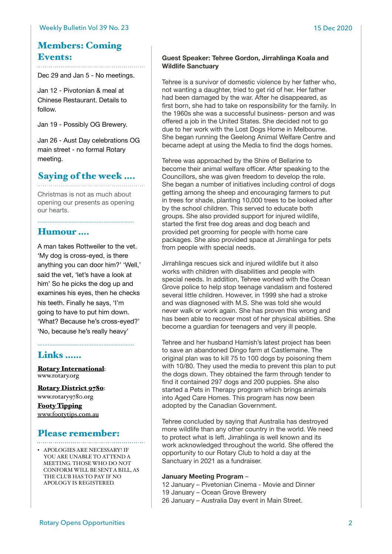## Members: Coming Events:

Dec 29 and Jan 5 - No meetings.

Jan 12 - Pivotonian & meal at Chinese Restaurant. Details to follow.

Jan 19 - Possibly OG Brewery.

Jan 26 - Aust Day celebrations OG main street - no formal Rotary meeting.

## Saying of the week ….

Christmas is not as much about opening our presents as opening our hearts.

…………………………………………………

### Humour ….

A man takes Rottweiler to the vet. 'My dog is cross-eyed, is there anything you can door him?' 'Well,' said the vet, 'let's have a look at him' So he picks the dog up and examines his eyes, then he checks his teeth. Finally he says, 'I'm going to have to put him down. 'What? Because he's cross-eyed?' 'No, because he's really heavy'

…………………………………………………

## Links ……

**[Rotary International](https://www.rotary.org):**<br>[www.rotary.org](http://www.rotary.org)

[Rotary District 9780](http://rotary9780.org): [www.rotary9780.org](http://www.rotary9780.org)

[Footy Tipping](http://www.footytips.com.au) [www.footytips.com.au](http://www.footytips.com.au)

# Please remember:

APOLOGY IS REGISTERED.

• APOLOGIES ARE NECESSARY! IF YOU ARE UNABLE TO ATTEND A MEETING. THOSE WHO DO NOT CONFORM WILL BE SENT A BILL, AS THE CLUB HAS TO PAY IF NO

### **Guest Speaker: Tehree Gordon, Jirrahlinga Koala and Wildlife Sanctuary**

Tehree is a survivor of domestic violence by her father who, not wanting a daughter, tried to get rid of her. Her father had been damaged by the war. After he disappeared, as first born, she had to take on responsibility for the family. In the 1960s she was a successful business- person and was offered a job in the United States. She decided not to go due to her work with the Lost Dogs Home in Melbourne. She began running the Geelong Animal Welfare Centre and became adept at using the Media to find the dogs homes.

Tehree was approached by the Shire of Bellarine to become their animal welfare officer. After speaking to the Councillors, she was given freedom to develop the role. She began a number of initiatives including control of dogs getting among the sheep and encouraging farmers to put in trees for shade, planting 10,000 trees to be looked after by the school children. This served to educate both groups. She also provided support for injured wildlife, started the first free dog areas and dog beach and provided pet grooming for people with home care packages. She also provided space at Jirrahlinga for pets from people with special needs.

Jirrahlinga rescues sick and injured wildlife but it also works with children with disabilities and people with special needs. In addition, Tehree worked with the Ocean Grove police to help stop teenage vandalism and fostered several little children. However, in 1999 she had a stroke and was diagnosed with M.S. She was told she would never walk or work again. She has proven this wrong and has been able to recover most of her physical abilities. She become a guardian for teenagers and very ill people.

Tehree and her husband Hamish's latest project has been to save an abandoned Dingo farm at Castlemaine. The original plan was to kill 75 to 100 dogs by poisoning them with 10/80. They used the media to prevent this plan to put the dogs down. They obtained the farm through tender to find it contained 297 dogs and 200 puppies. She also started a Pets in Therapy program which brings animals into Aged Care Homes. This program has now been adopted by the Canadian Government.

Tehree concluded by saying that Australia has destroyed more wildlife than any other country in the world. We need to protect what is left. Jirrahlinga is well known and its work acknowledged throughout the world. She offered the opportunity to our Rotary Club to hold a day at the Sanctuary in 2021 as a fundraiser.

#### **January Meeting Program** –

12 January – Pivetonian Cinema - Movie and Dinner 19 January – Ocean Grove Brewery 26 January – Australia Day event in Main Street.